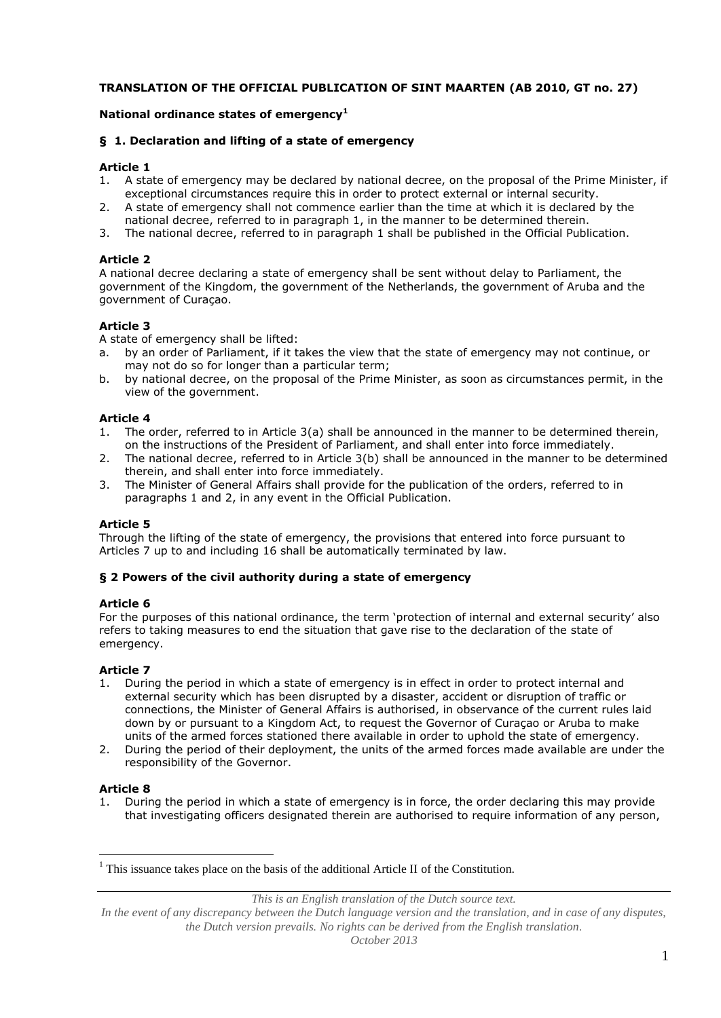## **TRANSLATION OF THE OFFICIAL PUBLICATION OF SINT MAARTEN (AB 2010, GT no. 27)**

# **National ordinance states of emergency<sup>1</sup>**

## **§ 1. Declaration and lifting of a state of emergency**

#### **Article 1**

- 1. A state of emergency may be declared by national decree, on the proposal of the Prime Minister, if exceptional circumstances require this in order to protect external or internal security.
- 2. A state of emergency shall not commence earlier than the time at which it is declared by the national decree, referred to in paragraph 1, in the manner to be determined therein.
- 3. The national decree, referred to in paragraph 1 shall be published in the Official Publication.

#### **Article 2**

A national decree declaring a state of emergency shall be sent without delay to Parliament, the government of the Kingdom, the government of the Netherlands, the government of Aruba and the government of Curaçao.

## **Article 3**

A state of emergency shall be lifted:

- a. by an order of Parliament, if it takes the view that the state of emergency may not continue, or may not do so for longer than a particular term;
- b. by national decree, on the proposal of the Prime Minister, as soon as circumstances permit, in the view of the government.

#### **Article 4**

- 1. The order, referred to in Article 3(a) shall be announced in the manner to be determined therein, on the instructions of the President of Parliament, and shall enter into force immediately.
- 2. The national decree, referred to in Article 3(b) shall be announced in the manner to be determined therein, and shall enter into force immediately.
- 3. The Minister of General Affairs shall provide for the publication of the orders, referred to in paragraphs 1 and 2, in any event in the Official Publication.

## **Article 5**

Through the lifting of the state of emergency, the provisions that entered into force pursuant to Articles 7 up to and including 16 shall be automatically terminated by law.

#### **§ 2 Powers of the civil authority during a state of emergency**

#### **Article 6**

For the purposes of this national ordinance, the term 'protection of internal and external security' also refers to taking measures to end the situation that gave rise to the declaration of the state of emergency.

## **Article 7**

- 1. During the period in which a state of emergency is in effect in order to protect internal and external security which has been disrupted by a disaster, accident or disruption of traffic or connections, the Minister of General Affairs is authorised, in observance of the current rules laid down by or pursuant to a Kingdom Act, to request the Governor of Curaçao or Aruba to make units of the armed forces stationed there available in order to uphold the state of emergency.
- 2. During the period of their deployment, the units of the armed forces made available are under the responsibility of the Governor.

## **Article 8**

 $\overline{a}$ 

1. During the period in which a state of emergency is in force, the order declaring this may provide that investigating officers designated therein are authorised to require information of any person,

*This is an English translation of the Dutch source text.*

 $<sup>1</sup>$  This issuance takes place on the basis of the additional Article II of the Constitution.</sup>

In the event of any discrepancy between the Dutch language version and the translation, and in case of any disputes, *the Dutch version prevails. No rights can be derived from the English translation.*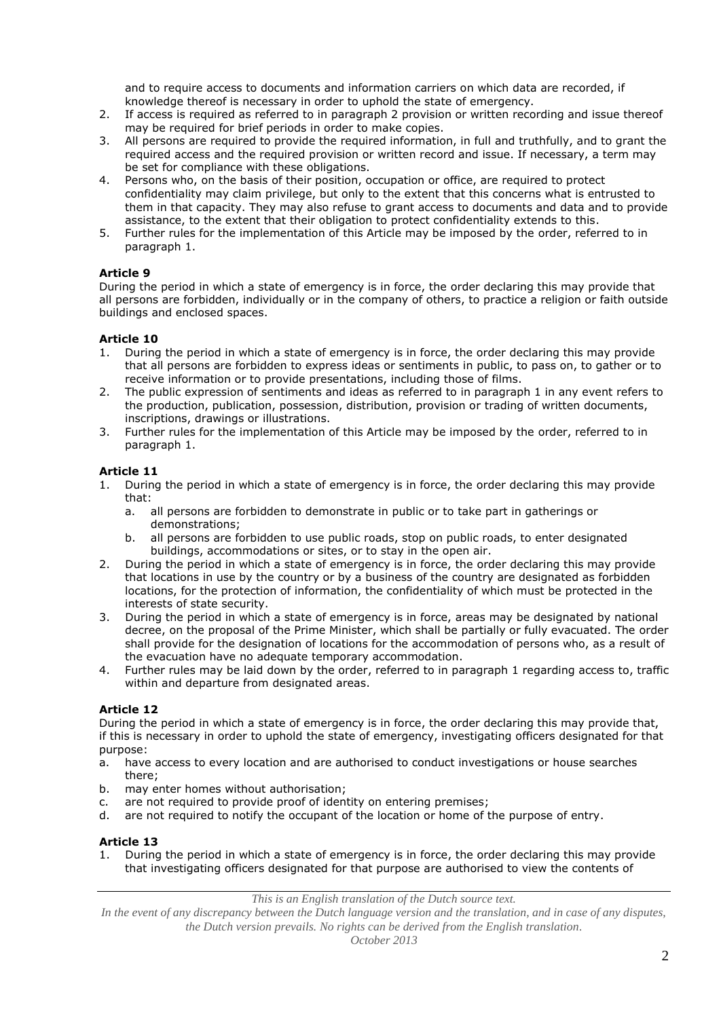and to require access to documents and information carriers on which data are recorded, if knowledge thereof is necessary in order to uphold the state of emergency.

- 2. If access is required as referred to in paragraph 2 provision or written recording and issue thereof may be required for brief periods in order to make copies.
- 3. All persons are required to provide the required information, in full and truthfully, and to grant the required access and the required provision or written record and issue. If necessary, a term may be set for compliance with these obligations.
- 4. Persons who, on the basis of their position, occupation or office, are required to protect confidentiality may claim privilege, but only to the extent that this concerns what is entrusted to them in that capacity. They may also refuse to grant access to documents and data and to provide assistance, to the extent that their obligation to protect confidentiality extends to this.
- 5. Further rules for the implementation of this Article may be imposed by the order, referred to in paragraph 1.

## **Article 9**

During the period in which a state of emergency is in force, the order declaring this may provide that all persons are forbidden, individually or in the company of others, to practice a religion or faith outside buildings and enclosed spaces.

## **Article 10**

- 1. During the period in which a state of emergency is in force, the order declaring this may provide that all persons are forbidden to express ideas or sentiments in public, to pass on, to gather or to receive information or to provide presentations, including those of films.
- 2. The public expression of sentiments and ideas as referred to in paragraph 1 in any event refers to the production, publication, possession, distribution, provision or trading of written documents, inscriptions, drawings or illustrations.
- 3. Further rules for the implementation of this Article may be imposed by the order, referred to in paragraph 1.

# **Article 11**

- 1. During the period in which a state of emergency is in force, the order declaring this may provide that:
	- a. all persons are forbidden to demonstrate in public or to take part in gatherings or demonstrations;
	- b. all persons are forbidden to use public roads, stop on public roads, to enter designated buildings, accommodations or sites, or to stay in the open air.
- 2. During the period in which a state of emergency is in force, the order declaring this may provide that locations in use by the country or by a business of the country are designated as forbidden locations, for the protection of information, the confidentiality of which must be protected in the interests of state security.
- 3. During the period in which a state of emergency is in force, areas may be designated by national decree, on the proposal of the Prime Minister, which shall be partially or fully evacuated. The order shall provide for the designation of locations for the accommodation of persons who, as a result of the evacuation have no adequate temporary accommodation.
- 4. Further rules may be laid down by the order, referred to in paragraph 1 regarding access to, traffic within and departure from designated areas.

# **Article 12**

During the period in which a state of emergency is in force, the order declaring this may provide that, if this is necessary in order to uphold the state of emergency, investigating officers designated for that purpose:

- a. have access to every location and are authorised to conduct investigations or house searches there;
- b. may enter homes without authorisation;
- c. are not required to provide proof of identity on entering premises;
- d. are not required to notify the occupant of the location or home of the purpose of entry.

## **Article 13**

1. During the period in which a state of emergency is in force, the order declaring this may provide that investigating officers designated for that purpose are authorised to view the contents of

*This is an English translation of the Dutch source text.*

*In the event of any discrepancy between the Dutch language version and the translation, and in case of any disputes, the Dutch version prevails. No rights can be derived from the English translation.*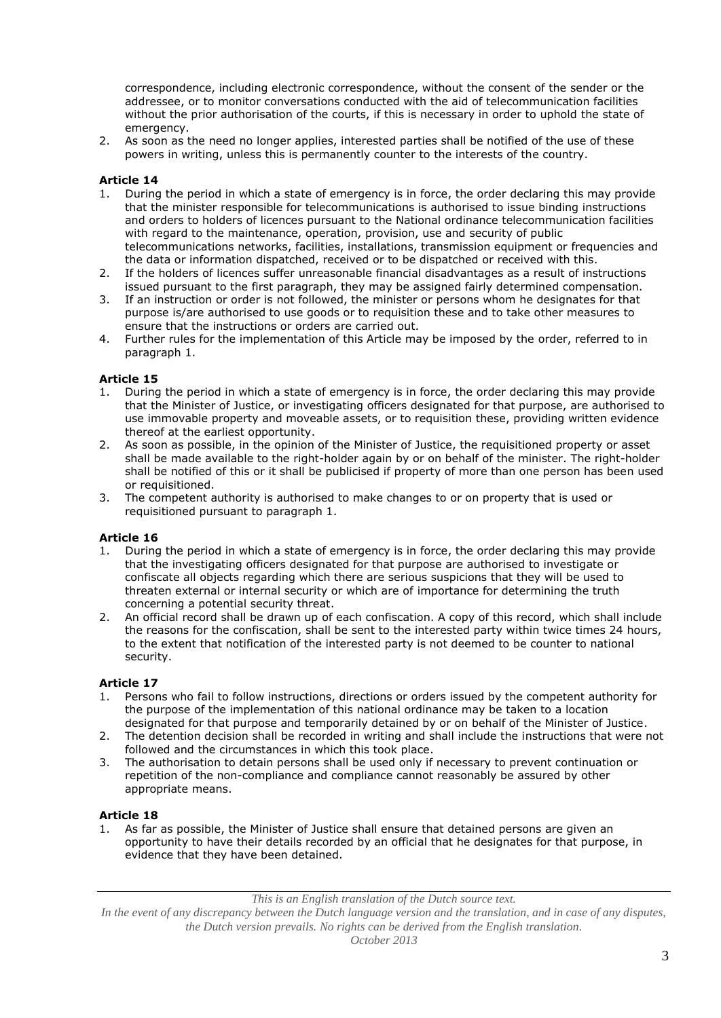correspondence, including electronic correspondence, without the consent of the sender or the addressee, or to monitor conversations conducted with the aid of telecommunication facilities without the prior authorisation of the courts, if this is necessary in order to uphold the state of emergency.

2. As soon as the need no longer applies, interested parties shall be notified of the use of these powers in writing, unless this is permanently counter to the interests of the country.

# **Article 14**

- 1. During the period in which a state of emergency is in force, the order declaring this may provide that the minister responsible for telecommunications is authorised to issue binding instructions and orders to holders of licences pursuant to the National ordinance telecommunication facilities with regard to the maintenance, operation, provision, use and security of public telecommunications networks, facilities, installations, transmission equipment or frequencies and the data or information dispatched, received or to be dispatched or received with this.
- 2. If the holders of licences suffer unreasonable financial disadvantages as a result of instructions issued pursuant to the first paragraph, they may be assigned fairly determined compensation.
- 3. If an instruction or order is not followed, the minister or persons whom he designates for that purpose is/are authorised to use goods or to requisition these and to take other measures to ensure that the instructions or orders are carried out.
- 4. Further rules for the implementation of this Article may be imposed by the order, referred to in paragraph 1.

## **Article 15**

- 1. During the period in which a state of emergency is in force, the order declaring this may provide that the Minister of Justice, or investigating officers designated for that purpose, are authorised to use immovable property and moveable assets, or to requisition these, providing written evidence thereof at the earliest opportunity.
- 2. As soon as possible, in the opinion of the Minister of Justice, the requisitioned property or asset shall be made available to the right-holder again by or on behalf of the minister. The right-holder shall be notified of this or it shall be publicised if property of more than one person has been used or requisitioned.
- 3. The competent authority is authorised to make changes to or on property that is used or requisitioned pursuant to paragraph 1.

#### **Article 16**

- 1. During the period in which a state of emergency is in force, the order declaring this may provide that the investigating officers designated for that purpose are authorised to investigate or confiscate all objects regarding which there are serious suspicions that they will be used to threaten external or internal security or which are of importance for determining the truth concerning a potential security threat.
- 2. An official record shall be drawn up of each confiscation. A copy of this record, which shall include the reasons for the confiscation, shall be sent to the interested party within twice times 24 hours, to the extent that notification of the interested party is not deemed to be counter to national security.

## **Article 17**

- 1. Persons who fail to follow instructions, directions or orders issued by the competent authority for the purpose of the implementation of this national ordinance may be taken to a location designated for that purpose and temporarily detained by or on behalf of the Minister of Justice.
- 2. The detention decision shall be recorded in writing and shall include the instructions that were not followed and the circumstances in which this took place.
- 3. The authorisation to detain persons shall be used only if necessary to prevent continuation or repetition of the non-compliance and compliance cannot reasonably be assured by other appropriate means.

## **Article 18**

1. As far as possible, the Minister of Justice shall ensure that detained persons are given an opportunity to have their details recorded by an official that he designates for that purpose, in evidence that they have been detained.

*This is an English translation of the Dutch source text.*

*In the event of any discrepancy between the Dutch language version and the translation, and in case of any disputes, the Dutch version prevails. No rights can be derived from the English translation.*